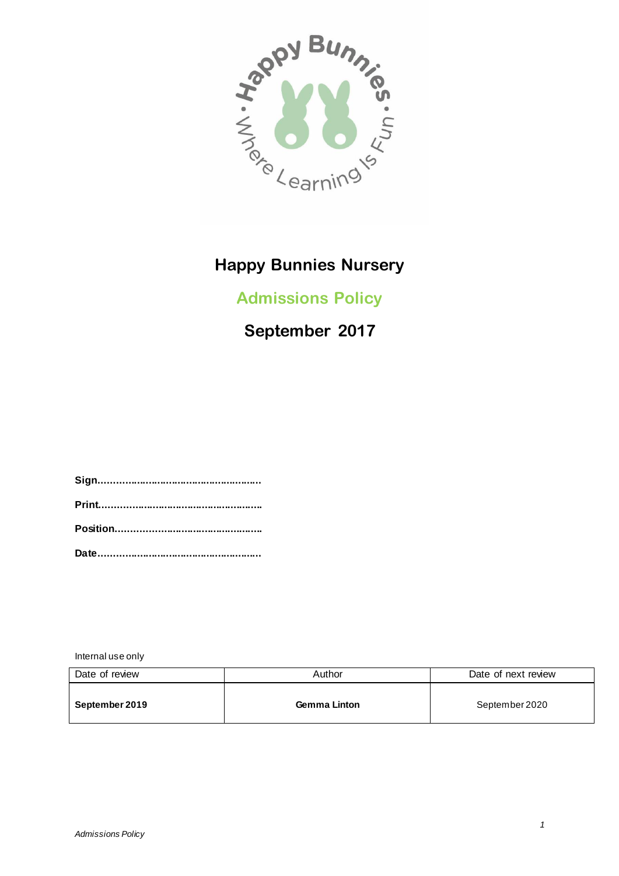

# **Admissions Policy**

# **September 2017**

**Sign........................................................ Print........................................................ Position.................................................. Date........................................................**

Internal use only

| Date of review | Author              | Date of next review |
|----------------|---------------------|---------------------|
| September 2019 | <b>Gemma Linton</b> | September 2020      |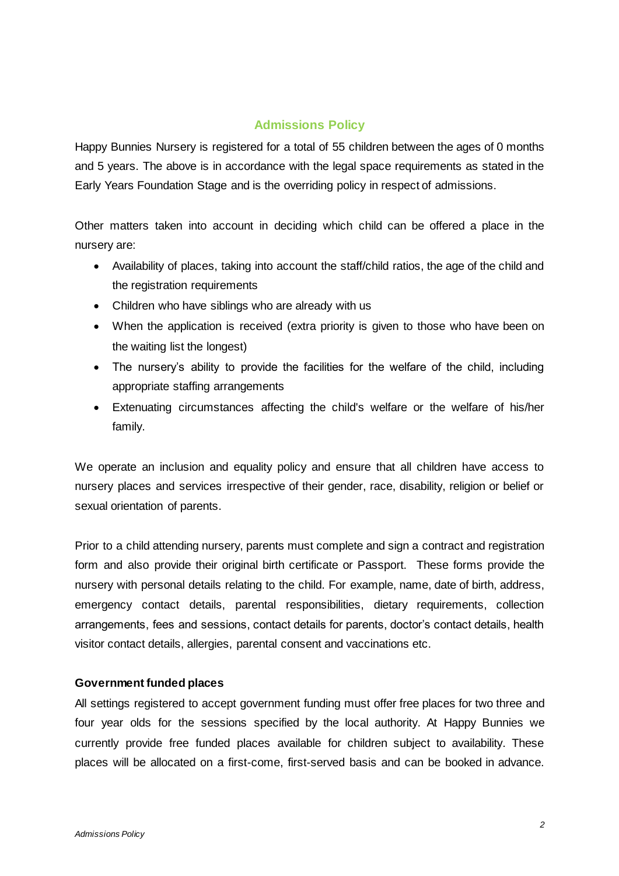### **Admissions Policy**

Happy Bunnies Nursery is registered for a total of 55 children between the ages of 0 months and 5 years. The above is in accordance with the legal space requirements as stated in the Early Years Foundation Stage and is the overriding policy in respect of admissions.

Other matters taken into account in deciding which child can be offered a place in the nursery are:

- Availability of places, taking into account the staff/child ratios, the age of the child and the registration requirements
- Children who have siblings who are already with us
- When the application is received (extra priority is given to those who have been on the waiting list the longest)
- The nursery's ability to provide the facilities for the welfare of the child, including appropriate staffing arrangements
- Extenuating circumstances affecting the child's welfare or the welfare of his/her family.

We operate an inclusion and equality policy and ensure that all children have access to nursery places and services irrespective of their gender, race, disability, religion or belief or sexual orientation of parents.

Prior to a child attending nursery, parents must complete and sign a contract and registration form and also provide their original birth certificate or Passport. These forms provide the nursery with personal details relating to the child. For example, name, date of birth, address, emergency contact details, parental responsibilities, dietary requirements, collection arrangements, fees and sessions, contact details for parents, doctor's contact details, health visitor contact details, allergies, parental consent and vaccinations etc.

#### **Government funded places**

All settings registered to accept government funding must offer free places for two three and four year olds for the sessions specified by the local authority. At Happy Bunnies we currently provide free funded places available for children subject to availability. These places will be allocated on a first-come, first-served basis and can be booked in advance.